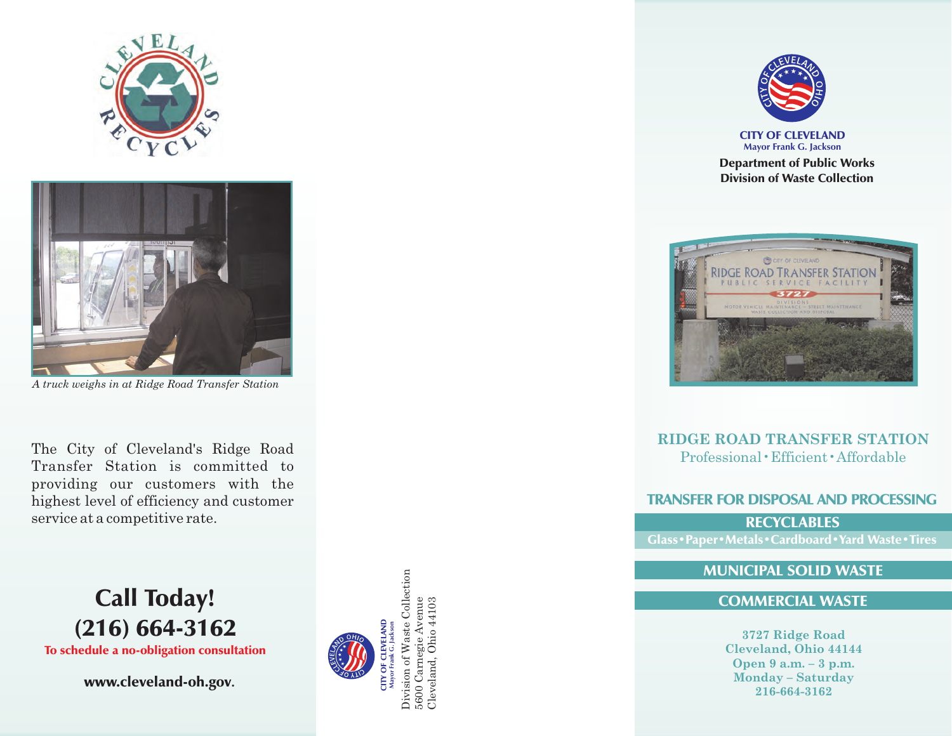



*A truck weighs in at Ridge Road Transfer Station*

The City of Cleveland's Ridge Road Transfer Station is committed to providing our customers with the highest level of efficiency and customer service at a competitive rate.



www.cleveland-oh.gov.





CITY OF CLEVELAND **Mayor Frank G. Jackson**

Department of Public Works Division of Waste Collection



**RIDGE ROAD TRANSFER STATION** Professional•Efficient•Affordable

## TRANSFER FOR DISPOSAL AND PROCESSING

**RECYCLABLES** Glass•Paper•Metals•Cardboard•Yard Waste•Tires

## MUNICIPAL SOLID WASTE

## COMMERCIAL WASTE

**3727 Ridge Road Cleveland, Ohio 44144 Open 9 a.m. – 3 p.m. Monday – Saturday 216-664-3162**